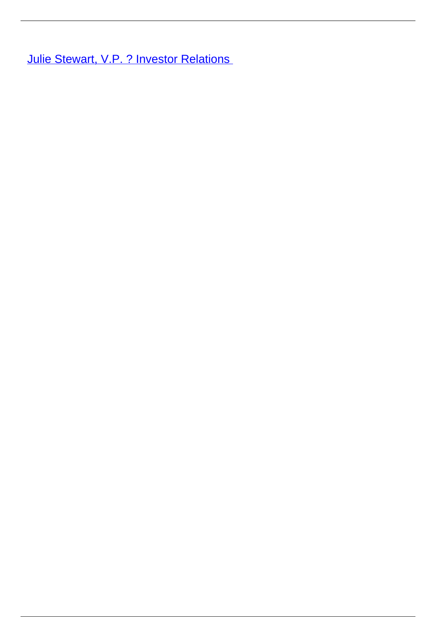**[Julie Stewart, V.P. ? Investor Relations](/leader-bio-julie-stewart-vp-investor-relations)**